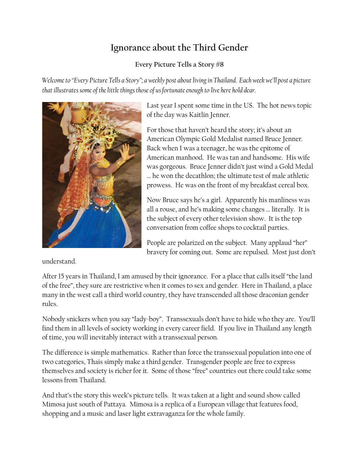## **Ignorance about the Third Gender**

## **Every Picture Tells a Story #8**

*Welcome to "Every Picture Tells a Story"; a weekly post about living in Thailand. Each week we'll post a picture that illustrates some of the little things those of us fortunate enough to live here hold dear.*



Last year I spent some time in the US. The hot news topic of the day was Kaitlin Jenner.

For those that haven't heard the story; it's about an American Olympic Gold Medalist named Bruce Jenner. Back when I was a teenager, he was the epitome of American manhood. He was tan and handsome. His wife was gorgeous. Bruce Jenner didn't just wind a Gold Medal … he won the decathlon; the ultimate test of male athletic prowess. He was on the front of my breakfast cereal box.

Now Bruce says he's a girl. Apparently his manliness was all a rouse, and he's making some changes … literally. It is the subject of every other television show. It is the top conversation from coffee shops to cocktail parties.

People are polarized on the subject. Many applaud "her" bravery for coming out. Some are repulsed. Most just don't

understand.

After 15 years in Thailand, I am amused by their ignorance. For a place that calls itself "the land of the free", they sure are restrictive when it comes to sex and gender. Here in Thailand, a place many in the west call a third world country, they have transcended all those draconian gender rules.

Nobody snickers when you say "lady-boy". Transsexuals don't have to hide who they are. You'll find them in all levels of society working in every career field. If you live in Thailand any length of time, you will inevitably interact with a transsexual person.

The difference is simple mathematics. Rather than force the transsexual population into one of two categories, Thais simply make a third gender. Transgender people are free to express themselves and society is richer for it. Some of those "free" countries out there could take some lessons from Thailand.

And that's the story this week's picture tells. It was taken at a light and sound show called Mimosa just south of Pattaya. Mimosa is a replica of a European village that features food, shopping and a music and laser light extravaganza for the whole family.